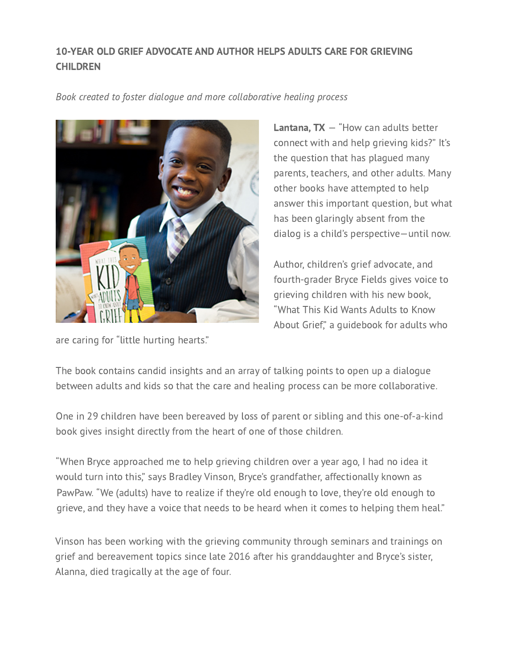## [10-YEAR OLD GRIEF](http://thiskidsgrief.com/) ADVOCATE AND AUTHOR HELP[S ADUL](http://thiskidsgrief.com/as-seen-on/)TS CAR[E FOR GRIEV](http://thiskidsgrief.com/newsletter/)ING **CHILDREN**

Book created to foster dialogue and more collaborative healing process



**Lantana, TX**  $-$  "How can adults better connect with and help grieving kids?" It's the question that has plagued many parents, teachers, and other adults. Many other books have attempted to help answer this important question, but what has been glaringly absent from the dialog is a child's perspective—until now.

Author, children's grief advocate, and fourth-grader Bryce Fields gives voice to grieving children with his new book, "What This Kid Wants Adults to Know About Grief," a guidebook for adults who

are caring for "little hurting hearts."

The book contains candid insights and an array of talking points to open up a dialogue between adults and kids so that the care and healing process can be more collaborative.

One in 29 children have been bereaved by loss of parent or sibling and this one-of-a-kind book gives insight directly from the heart of one of those children.

"When Bryce approached me to help grieving children over a year ago, I had no idea it would turn into this," says Bradley Vinson, Bryce's grandfather, affectionally known as PawPaw. "We (adults) have to realize if they're old enough to love, they're old enough to grieve, and they have a voice that needs to be heard when it comes to helping them heal."

Vinson has been working with the grieving community through seminars and trainings on grief and bereavement topics since late 2016 after his granddaughter and Bryce's sister, Alanna, died tragically at the age of four.